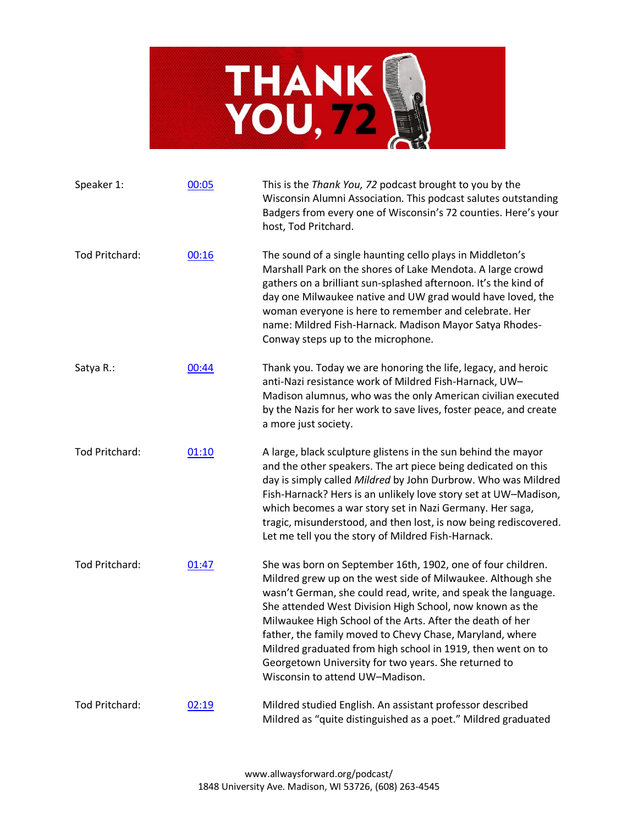

| Speaker 1:            | 00:05 | This is the Thank You, 72 podcast brought to you by the<br>Wisconsin Alumni Association. This podcast salutes outstanding<br>Badgers from every one of Wisconsin's 72 counties. Here's your<br>host, Tod Pritchard.                                                                                                                                                                                                                                                                                                                        |
|-----------------------|-------|--------------------------------------------------------------------------------------------------------------------------------------------------------------------------------------------------------------------------------------------------------------------------------------------------------------------------------------------------------------------------------------------------------------------------------------------------------------------------------------------------------------------------------------------|
| Tod Pritchard:        | 00:16 | The sound of a single haunting cello plays in Middleton's<br>Marshall Park on the shores of Lake Mendota. A large crowd<br>gathers on a brilliant sun-splashed afternoon. It's the kind of<br>day one Milwaukee native and UW grad would have loved, the<br>woman everyone is here to remember and celebrate. Her<br>name: Mildred Fish-Harnack. Madison Mayor Satya Rhodes-<br>Conway steps up to the microphone.                                                                                                                         |
| Satya R.:             | 00:44 | Thank you. Today we are honoring the life, legacy, and heroic<br>anti-Nazi resistance work of Mildred Fish-Harnack, UW-<br>Madison alumnus, who was the only American civilian executed<br>by the Nazis for her work to save lives, foster peace, and create<br>a more just society.                                                                                                                                                                                                                                                       |
| Tod Pritchard:        | 01:10 | A large, black sculpture glistens in the sun behind the mayor<br>and the other speakers. The art piece being dedicated on this<br>day is simply called Mildred by John Durbrow. Who was Mildred<br>Fish-Harnack? Hers is an unlikely love story set at UW-Madison,<br>which becomes a war story set in Nazi Germany. Her saga,<br>tragic, misunderstood, and then lost, is now being rediscovered.<br>Let me tell you the story of Mildred Fish-Harnack.                                                                                   |
| Tod Pritchard:        | 01:47 | She was born on September 16th, 1902, one of four children.<br>Mildred grew up on the west side of Milwaukee. Although she<br>wasn't German, she could read, write, and speak the language.<br>She attended West Division High School, now known as the<br>Milwaukee High School of the Arts. After the death of her<br>father, the family moved to Chevy Chase, Maryland, where<br>Mildred graduated from high school in 1919, then went on to<br>Georgetown University for two years. She returned to<br>Wisconsin to attend UW-Madison. |
| <b>Tod Pritchard:</b> | 02:19 | Mildred studied English. An assistant professor described<br>Mildred as "quite distinguished as a poet." Mildred graduated                                                                                                                                                                                                                                                                                                                                                                                                                 |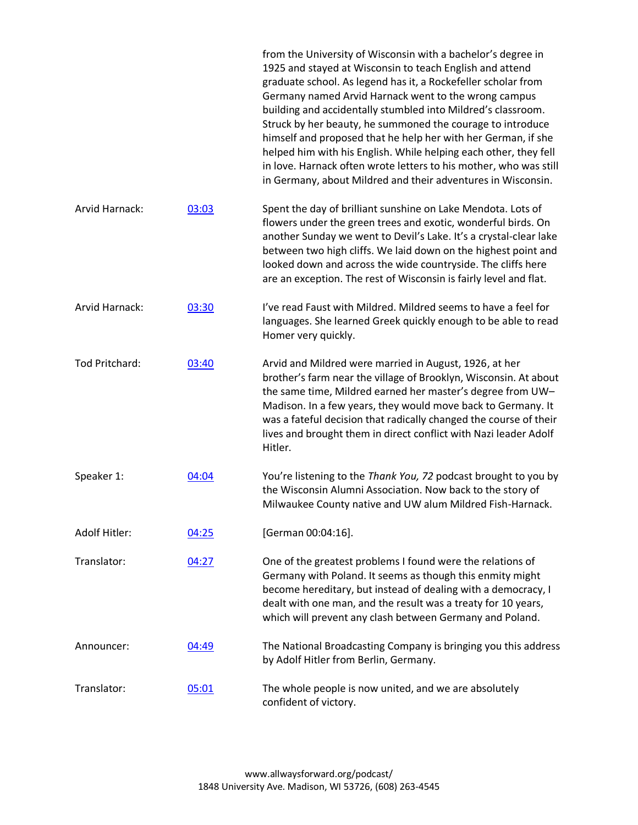|                |       | from the University of Wisconsin with a bachelor's degree in<br>1925 and stayed at Wisconsin to teach English and attend<br>graduate school. As legend has it, a Rockefeller scholar from<br>Germany named Arvid Harnack went to the wrong campus<br>building and accidentally stumbled into Mildred's classroom.<br>Struck by her beauty, he summoned the courage to introduce<br>himself and proposed that he help her with her German, if she<br>helped him with his English. While helping each other, they fell<br>in love. Harnack often wrote letters to his mother, who was still<br>in Germany, about Mildred and their adventures in Wisconsin. |
|----------------|-------|-----------------------------------------------------------------------------------------------------------------------------------------------------------------------------------------------------------------------------------------------------------------------------------------------------------------------------------------------------------------------------------------------------------------------------------------------------------------------------------------------------------------------------------------------------------------------------------------------------------------------------------------------------------|
| Arvid Harnack: | 03:03 | Spent the day of brilliant sunshine on Lake Mendota. Lots of<br>flowers under the green trees and exotic, wonderful birds. On<br>another Sunday we went to Devil's Lake. It's a crystal-clear lake<br>between two high cliffs. We laid down on the highest point and<br>looked down and across the wide countryside. The cliffs here<br>are an exception. The rest of Wisconsin is fairly level and flat.                                                                                                                                                                                                                                                 |
| Arvid Harnack: | 03:30 | I've read Faust with Mildred. Mildred seems to have a feel for<br>languages. She learned Greek quickly enough to be able to read<br>Homer very quickly.                                                                                                                                                                                                                                                                                                                                                                                                                                                                                                   |
| Tod Pritchard: | 03:40 | Arvid and Mildred were married in August, 1926, at her<br>brother's farm near the village of Brooklyn, Wisconsin. At about<br>the same time, Mildred earned her master's degree from UW-<br>Madison. In a few years, they would move back to Germany. It<br>was a fateful decision that radically changed the course of their<br>lives and brought them in direct conflict with Nazi leader Adolf<br>Hitler.                                                                                                                                                                                                                                              |
| Speaker 1:     | 04:04 | You're listening to the Thank You, 72 podcast brought to you by<br>the Wisconsin Alumni Association. Now back to the story of<br>Milwaukee County native and UW alum Mildred Fish-Harnack.                                                                                                                                                                                                                                                                                                                                                                                                                                                                |
| Adolf Hitler:  | 04:25 | [German 00:04:16].                                                                                                                                                                                                                                                                                                                                                                                                                                                                                                                                                                                                                                        |
| Translator:    | 04:27 | One of the greatest problems I found were the relations of<br>Germany with Poland. It seems as though this enmity might<br>become hereditary, but instead of dealing with a democracy, I<br>dealt with one man, and the result was a treaty for 10 years,<br>which will prevent any clash between Germany and Poland.                                                                                                                                                                                                                                                                                                                                     |
| Announcer:     | 04:49 | The National Broadcasting Company is bringing you this address<br>by Adolf Hitler from Berlin, Germany.                                                                                                                                                                                                                                                                                                                                                                                                                                                                                                                                                   |
| Translator:    | 05:01 | The whole people is now united, and we are absolutely<br>confident of victory.                                                                                                                                                                                                                                                                                                                                                                                                                                                                                                                                                                            |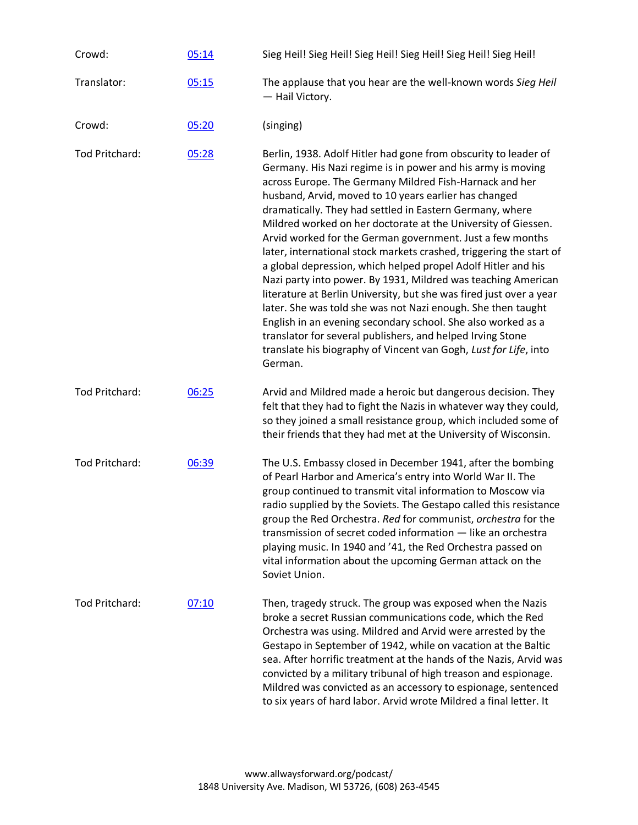| Crowd:         | 05:14 | Sieg Heil! Sieg Heil! Sieg Heil! Sieg Heil! Sieg Heil! Sieg Heil!                                                                                                                                                                                                                                                                                                                                                                                                                                                                                                                                                                                                                                                                                                                                                                                                                                                                                                                                         |
|----------------|-------|-----------------------------------------------------------------------------------------------------------------------------------------------------------------------------------------------------------------------------------------------------------------------------------------------------------------------------------------------------------------------------------------------------------------------------------------------------------------------------------------------------------------------------------------------------------------------------------------------------------------------------------------------------------------------------------------------------------------------------------------------------------------------------------------------------------------------------------------------------------------------------------------------------------------------------------------------------------------------------------------------------------|
| Translator:    | 05:15 | The applause that you hear are the well-known words Sieg Heil<br>- Hail Victory.                                                                                                                                                                                                                                                                                                                                                                                                                                                                                                                                                                                                                                                                                                                                                                                                                                                                                                                          |
| Crowd:         | 05:20 | (singing)                                                                                                                                                                                                                                                                                                                                                                                                                                                                                                                                                                                                                                                                                                                                                                                                                                                                                                                                                                                                 |
| Tod Pritchard: | 05:28 | Berlin, 1938. Adolf Hitler had gone from obscurity to leader of<br>Germany. His Nazi regime is in power and his army is moving<br>across Europe. The Germany Mildred Fish-Harnack and her<br>husband, Arvid, moved to 10 years earlier has changed<br>dramatically. They had settled in Eastern Germany, where<br>Mildred worked on her doctorate at the University of Giessen.<br>Arvid worked for the German government. Just a few months<br>later, international stock markets crashed, triggering the start of<br>a global depression, which helped propel Adolf Hitler and his<br>Nazi party into power. By 1931, Mildred was teaching American<br>literature at Berlin University, but she was fired just over a year<br>later. She was told she was not Nazi enough. She then taught<br>English in an evening secondary school. She also worked as a<br>translator for several publishers, and helped Irving Stone<br>translate his biography of Vincent van Gogh, Lust for Life, into<br>German. |
| Tod Pritchard: | 06:25 | Arvid and Mildred made a heroic but dangerous decision. They<br>felt that they had to fight the Nazis in whatever way they could,<br>so they joined a small resistance group, which included some of<br>their friends that they had met at the University of Wisconsin.                                                                                                                                                                                                                                                                                                                                                                                                                                                                                                                                                                                                                                                                                                                                   |
| Tod Pritchard: | 06:39 | The U.S. Embassy closed in December 1941, after the bombing<br>of Pearl Harbor and America's entry into World War II. The<br>group continued to transmit vital information to Moscow via<br>radio supplied by the Soviets. The Gestapo called this resistance<br>group the Red Orchestra. Red for communist, orchestra for the<br>transmission of secret coded information - like an orchestra<br>playing music. In 1940 and '41, the Red Orchestra passed on<br>vital information about the upcoming German attack on the<br>Soviet Union.                                                                                                                                                                                                                                                                                                                                                                                                                                                               |
| Tod Pritchard: | 07:10 | Then, tragedy struck. The group was exposed when the Nazis<br>broke a secret Russian communications code, which the Red<br>Orchestra was using. Mildred and Arvid were arrested by the<br>Gestapo in September of 1942, while on vacation at the Baltic<br>sea. After horrific treatment at the hands of the Nazis, Arvid was<br>convicted by a military tribunal of high treason and espionage.<br>Mildred was convicted as an accessory to espionage, sentenced<br>to six years of hard labor. Arvid wrote Mildred a final letter. It                                                                                                                                                                                                                                                                                                                                                                                                                                                                   |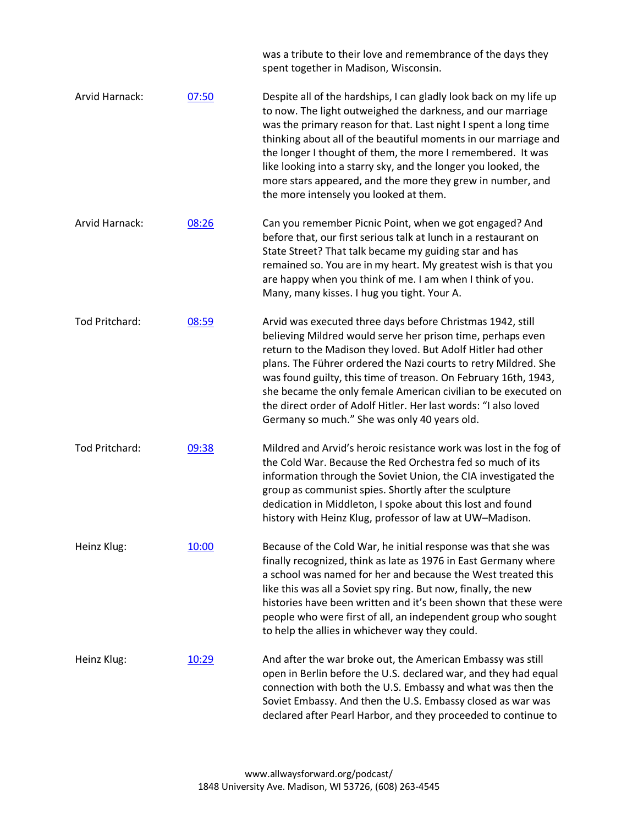|                |       | was a tribute to their love and remembrance of the days they<br>spent together in Madison, Wisconsin.                                                                                                                                                                                                                                                                                                                                                                                                                |
|----------------|-------|----------------------------------------------------------------------------------------------------------------------------------------------------------------------------------------------------------------------------------------------------------------------------------------------------------------------------------------------------------------------------------------------------------------------------------------------------------------------------------------------------------------------|
| Arvid Harnack: | 07:50 | Despite all of the hardships, I can gladly look back on my life up<br>to now. The light outweighed the darkness, and our marriage<br>was the primary reason for that. Last night I spent a long time<br>thinking about all of the beautiful moments in our marriage and<br>the longer I thought of them, the more I remembered. It was<br>like looking into a starry sky, and the longer you looked, the<br>more stars appeared, and the more they grew in number, and<br>the more intensely you looked at them.     |
| Arvid Harnack: | 08:26 | Can you remember Picnic Point, when we got engaged? And<br>before that, our first serious talk at lunch in a restaurant on<br>State Street? That talk became my guiding star and has<br>remained so. You are in my heart. My greatest wish is that you<br>are happy when you think of me. I am when I think of you.<br>Many, many kisses. I hug you tight. Your A.                                                                                                                                                   |
| Tod Pritchard: | 08:59 | Arvid was executed three days before Christmas 1942, still<br>believing Mildred would serve her prison time, perhaps even<br>return to the Madison they loved. But Adolf Hitler had other<br>plans. The Führer ordered the Nazi courts to retry Mildred. She<br>was found guilty, this time of treason. On February 16th, 1943,<br>she became the only female American civilian to be executed on<br>the direct order of Adolf Hitler. Her last words: "I also loved<br>Germany so much." She was only 40 years old. |
| Tod Pritchard: | 09:38 | Mildred and Arvid's heroic resistance work was lost in the fog of<br>the Cold War. Because the Red Orchestra fed so much of its<br>information through the Soviet Union, the CIA investigated the<br>group as communist spies. Shortly after the sculpture<br>dedication in Middleton, I spoke about this lost and found<br>history with Heinz Klug, professor of law at UW-Madison.                                                                                                                                 |
| Heinz Klug:    | 10:00 | Because of the Cold War, he initial response was that she was<br>finally recognized, think as late as 1976 in East Germany where<br>a school was named for her and because the West treated this<br>like this was all a Soviet spy ring. But now, finally, the new<br>histories have been written and it's been shown that these were<br>people who were first of all, an independent group who sought<br>to help the allies in whichever way they could.                                                            |
| Heinz Klug:    | 10:29 | And after the war broke out, the American Embassy was still<br>open in Berlin before the U.S. declared war, and they had equal<br>connection with both the U.S. Embassy and what was then the<br>Soviet Embassy. And then the U.S. Embassy closed as war was<br>declared after Pearl Harbor, and they proceeded to continue to                                                                                                                                                                                       |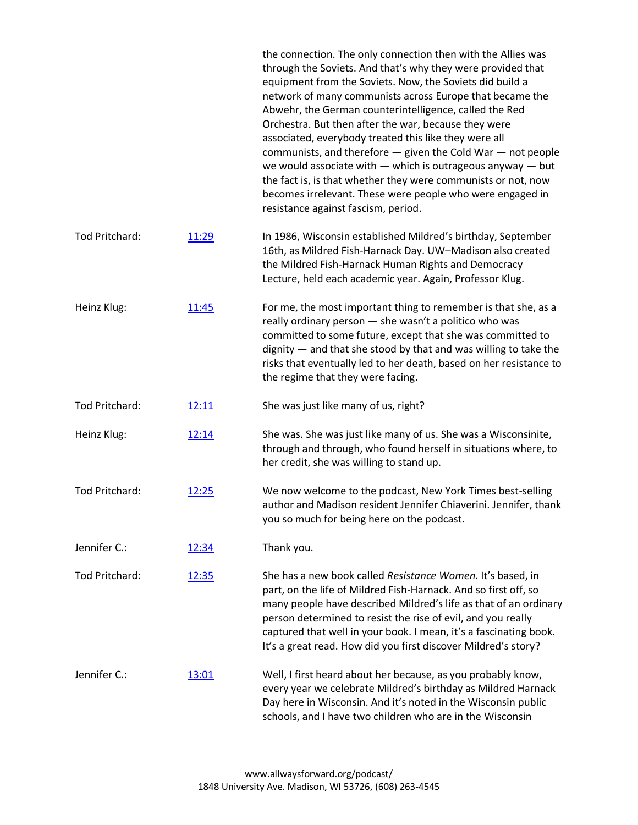|                |       | the connection. The only connection then with the Allies was<br>through the Soviets. And that's why they were provided that<br>equipment from the Soviets. Now, the Soviets did build a<br>network of many communists across Europe that became the<br>Abwehr, the German counterintelligence, called the Red<br>Orchestra. But then after the war, because they were<br>associated, everybody treated this like they were all<br>communists, and therefore - given the Cold War - not people<br>we would associate with $-$ which is outrageous anyway $-$ but<br>the fact is, is that whether they were communists or not, now<br>becomes irrelevant. These were people who were engaged in<br>resistance against fascism, period. |
|----------------|-------|--------------------------------------------------------------------------------------------------------------------------------------------------------------------------------------------------------------------------------------------------------------------------------------------------------------------------------------------------------------------------------------------------------------------------------------------------------------------------------------------------------------------------------------------------------------------------------------------------------------------------------------------------------------------------------------------------------------------------------------|
| Tod Pritchard: | 11:29 | In 1986, Wisconsin established Mildred's birthday, September<br>16th, as Mildred Fish-Harnack Day. UW-Madison also created<br>the Mildred Fish-Harnack Human Rights and Democracy<br>Lecture, held each academic year. Again, Professor Klug.                                                                                                                                                                                                                                                                                                                                                                                                                                                                                        |
| Heinz Klug:    | 11:45 | For me, the most important thing to remember is that she, as a<br>really ordinary person - she wasn't a politico who was<br>committed to some future, except that she was committed to<br>$dignity$ $-$ and that she stood by that and was willing to take the<br>risks that eventually led to her death, based on her resistance to<br>the regime that they were facing.                                                                                                                                                                                                                                                                                                                                                            |
| Tod Pritchard: | 12:11 | She was just like many of us, right?                                                                                                                                                                                                                                                                                                                                                                                                                                                                                                                                                                                                                                                                                                 |
| Heinz Klug:    | 12:14 | She was. She was just like many of us. She was a Wisconsinite,<br>through and through, who found herself in situations where, to<br>her credit, she was willing to stand up.                                                                                                                                                                                                                                                                                                                                                                                                                                                                                                                                                         |
| Tod Pritchard: | 12:25 | We now welcome to the podcast, New York Times best-selling<br>author and Madison resident Jennifer Chiaverini. Jennifer, thank<br>you so much for being here on the podcast.                                                                                                                                                                                                                                                                                                                                                                                                                                                                                                                                                         |
| Jennifer C.:   | 12:34 | Thank you.                                                                                                                                                                                                                                                                                                                                                                                                                                                                                                                                                                                                                                                                                                                           |
| Tod Pritchard: | 12:35 | She has a new book called Resistance Women. It's based, in<br>part, on the life of Mildred Fish-Harnack. And so first off, so<br>many people have described Mildred's life as that of an ordinary<br>person determined to resist the rise of evil, and you really<br>captured that well in your book. I mean, it's a fascinating book.<br>It's a great read. How did you first discover Mildred's story?                                                                                                                                                                                                                                                                                                                             |
| Jennifer C.:   | 13:01 | Well, I first heard about her because, as you probably know,<br>every year we celebrate Mildred's birthday as Mildred Harnack<br>Day here in Wisconsin. And it's noted in the Wisconsin public<br>schools, and I have two children who are in the Wisconsin                                                                                                                                                                                                                                                                                                                                                                                                                                                                          |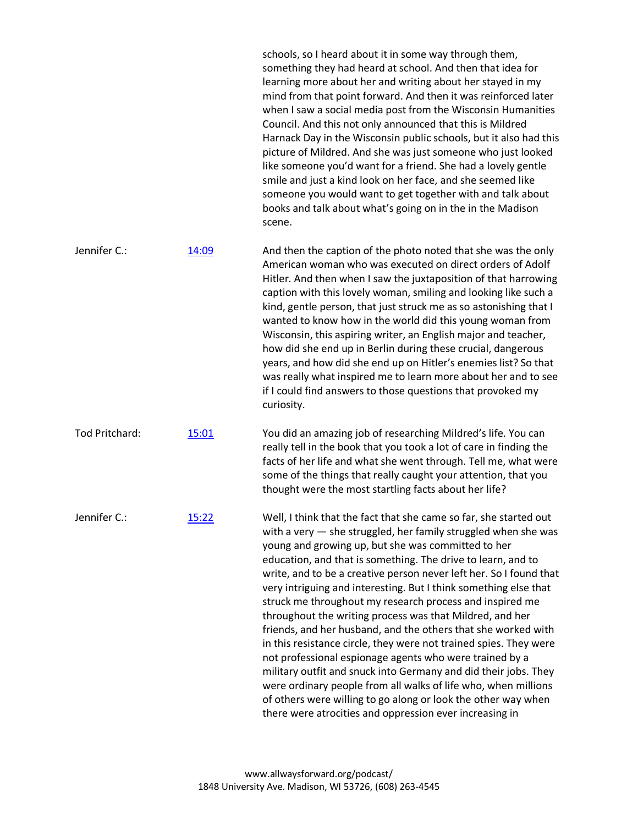schools, so I heard about it in some way through them, something they had heard at school. And then that idea for learning more about her and writing about her stayed in my mind from that point forward. And then it was reinforced later when I saw a social media post from the Wisconsin Humanities Council. And this not only announced that this is Mildred Harnack Day in the Wisconsin public schools, but it also had this picture of Mildred. And she was just someone who just looked like someone you'd want for a friend. She had a lovely gentle smile and just a kind look on her face, and she seemed like someone you would want to get together with and talk about books and talk about what's going on in the in the Madison scene.

Jennifer C.:  $\frac{14:09}{2}$  $\frac{14:09}{2}$  $\frac{14:09}{2}$  And then the caption of the photo noted that she was the only American woman who was executed on direct orders of Adolf Hitler. And then when I saw the juxtaposition of that harrowing caption with this lovely woman, smiling and looking like such a kind, gentle person, that just struck me as so astonishing that I wanted to know how in the world did this young woman from Wisconsin, this aspiring writer, an English major and teacher, how did she end up in Berlin during these crucial, dangerous years, and how did she end up on Hitler's enemies list? So that was really what inspired me to learn more about her and to see if I could find answers to those questions that provoked my curiosity.

Tod Pritchard: [15:01](https://www.rev.com/transcript-editor/Edit?token=7LBHnAWF59PwRdc42QMOobz5mzVyI-48LW67kEt4mXztEqyYDrJHkxn-jW5v9ONTbqCklIsIzP6Tn8EZNhurHHQpyNM&loadFrom=DocumentDeeplink&ts=901.33) You did an amazing job of researching Mildred's life. You can really tell in the book that you took a lot of care in finding the facts of her life and what she went through. Tell me, what were some of the things that really caught your attention, that you thought were the most startling facts about her life?

Jennifer C.: [15:22](https://www.rev.com/transcript-editor/Edit?token=F7RhKVwC-te9gXva4pHM9kvZXlrF6oGPK_P0Xudkb9UU0irwPmsNp31Y8CFxEdQ396XtkfiZGb10E8yWk6nm4Ju0AK4&loadFrom=DocumentDeeplink&ts=922.65) Well, I think that the fact that she came so far, she started out with a very — she struggled, her family struggled when she was young and growing up, but she was committed to her education, and that is something. The drive to learn, and to write, and to be a creative person never left her. So I found that very intriguing and interesting. But I think something else that struck me throughout my research process and inspired me throughout the writing process was that Mildred, and her friends, and her husband, and the others that she worked with in this resistance circle, they were not trained spies. They were not professional espionage agents who were trained by a military outfit and snuck into Germany and did their jobs. They were ordinary people from all walks of life who, when millions of others were willing to go along or look the other way when there were atrocities and oppression ever increasing in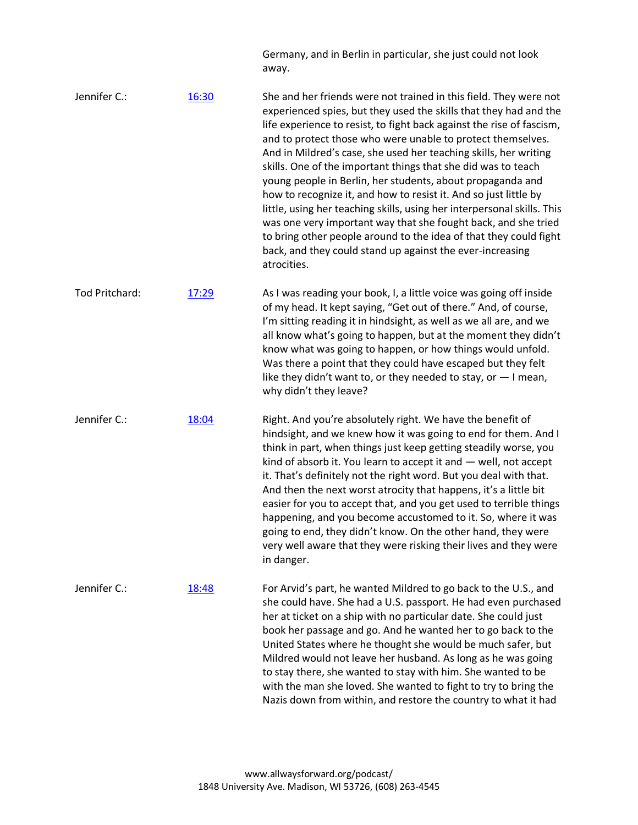Germany, and in Berlin in particular, she just could not look away.

| Jennifer C.:   | 16:30 | She and her friends were not trained in this field. They were not<br>experienced spies, but they used the skills that they had and the<br>life experience to resist, to fight back against the rise of fascism,<br>and to protect those who were unable to protect themselves.<br>And in Mildred's case, she used her teaching skills, her writing<br>skills. One of the important things that she did was to teach<br>young people in Berlin, her students, about propaganda and<br>how to recognize it, and how to resist it. And so just little by<br>little, using her teaching skills, using her interpersonal skills. This<br>was one very important way that she fought back, and she tried<br>to bring other people around to the idea of that they could fight<br>back, and they could stand up against the ever-increasing<br>atrocities. |
|----------------|-------|-----------------------------------------------------------------------------------------------------------------------------------------------------------------------------------------------------------------------------------------------------------------------------------------------------------------------------------------------------------------------------------------------------------------------------------------------------------------------------------------------------------------------------------------------------------------------------------------------------------------------------------------------------------------------------------------------------------------------------------------------------------------------------------------------------------------------------------------------------|
| Tod Pritchard: | 17:29 | As I was reading your book, I, a little voice was going off inside<br>of my head. It kept saying, "Get out of there." And, of course,<br>I'm sitting reading it in hindsight, as well as we all are, and we<br>all know what's going to happen, but at the moment they didn't<br>know what was going to happen, or how things would unfold.<br>Was there a point that they could have escaped but they felt<br>like they didn't want to, or they needed to stay, or $-1$ mean,<br>why didn't they leave?                                                                                                                                                                                                                                                                                                                                            |
| Jennifer C.:   | 18:04 | Right. And you're absolutely right. We have the benefit of<br>hindsight, and we knew how it was going to end for them. And I<br>think in part, when things just keep getting steadily worse, you<br>kind of absorb it. You learn to accept it and $-$ well, not accept<br>it. That's definitely not the right word. But you deal with that.<br>And then the next worst atrocity that happens, it's a little bit<br>easier for you to accept that, and you get used to terrible things<br>happening, and you become accustomed to it. So, where it was<br>going to end, they didn't know. On the other hand, they were<br>very well aware that they were risking their lives and they were<br>in danger.                                                                                                                                             |
| Jennifer C.:   | 18:48 | For Arvid's part, he wanted Mildred to go back to the U.S., and<br>she could have. She had a U.S. passport. He had even purchased<br>her at ticket on a ship with no particular date. She could just<br>book her passage and go. And he wanted her to go back to the<br>United States where he thought she would be much safer, but<br>Mildred would not leave her husband. As long as he was going<br>to stay there, she wanted to stay with him. She wanted to be<br>with the man she loved. She wanted to fight to try to bring the<br>Nazis down from within, and restore the country to what it had                                                                                                                                                                                                                                            |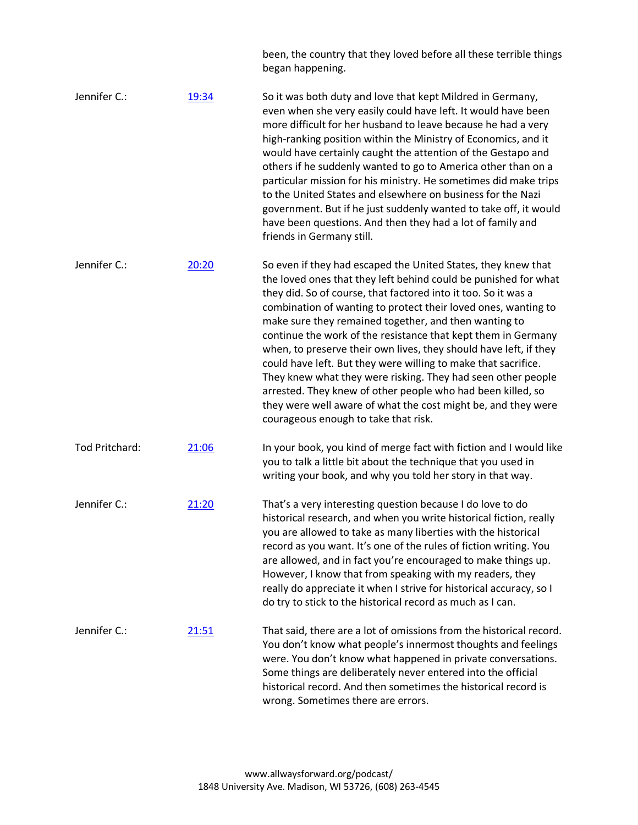|                |       | been, the country that they loved before all these terrible things<br>began happening.                                                                                                                                                                                                                                                                                                                                                                                                                                                                                                                                                                                                                                                                                        |
|----------------|-------|-------------------------------------------------------------------------------------------------------------------------------------------------------------------------------------------------------------------------------------------------------------------------------------------------------------------------------------------------------------------------------------------------------------------------------------------------------------------------------------------------------------------------------------------------------------------------------------------------------------------------------------------------------------------------------------------------------------------------------------------------------------------------------|
| Jennifer C.:   | 19:34 | So it was both duty and love that kept Mildred in Germany,<br>even when she very easily could have left. It would have been<br>more difficult for her husband to leave because he had a very<br>high-ranking position within the Ministry of Economics, and it<br>would have certainly caught the attention of the Gestapo and<br>others if he suddenly wanted to go to America other than on a<br>particular mission for his ministry. He sometimes did make trips<br>to the United States and elsewhere on business for the Nazi<br>government. But if he just suddenly wanted to take off, it would<br>have been questions. And then they had a lot of family and<br>friends in Germany still.                                                                             |
| Jennifer C.:   | 20:20 | So even if they had escaped the United States, they knew that<br>the loved ones that they left behind could be punished for what<br>they did. So of course, that factored into it too. So it was a<br>combination of wanting to protect their loved ones, wanting to<br>make sure they remained together, and then wanting to<br>continue the work of the resistance that kept them in Germany<br>when, to preserve their own lives, they should have left, if they<br>could have left. But they were willing to make that sacrifice.<br>They knew what they were risking. They had seen other people<br>arrested. They knew of other people who had been killed, so<br>they were well aware of what the cost might be, and they were<br>courageous enough to take that risk. |
| Tod Pritchard: | 21:06 | In your book, you kind of merge fact with fiction and I would like<br>you to talk a little bit about the technique that you used in<br>writing your book, and why you told her story in that way.                                                                                                                                                                                                                                                                                                                                                                                                                                                                                                                                                                             |
| Jennifer C.:   | 21:20 | That's a very interesting question because I do love to do<br>historical research, and when you write historical fiction, really<br>you are allowed to take as many liberties with the historical<br>record as you want. It's one of the rules of fiction writing. You<br>are allowed, and in fact you're encouraged to make things up.<br>However, I know that from speaking with my readers, they<br>really do appreciate it when I strive for historical accuracy, so I<br>do try to stick to the historical record as much as I can.                                                                                                                                                                                                                                      |
| Jennifer C.:   | 21:51 | That said, there are a lot of omissions from the historical record.<br>You don't know what people's innermost thoughts and feelings<br>were. You don't know what happened in private conversations.<br>Some things are deliberately never entered into the official<br>historical record. And then sometimes the historical record is<br>wrong. Sometimes there are errors.                                                                                                                                                                                                                                                                                                                                                                                                   |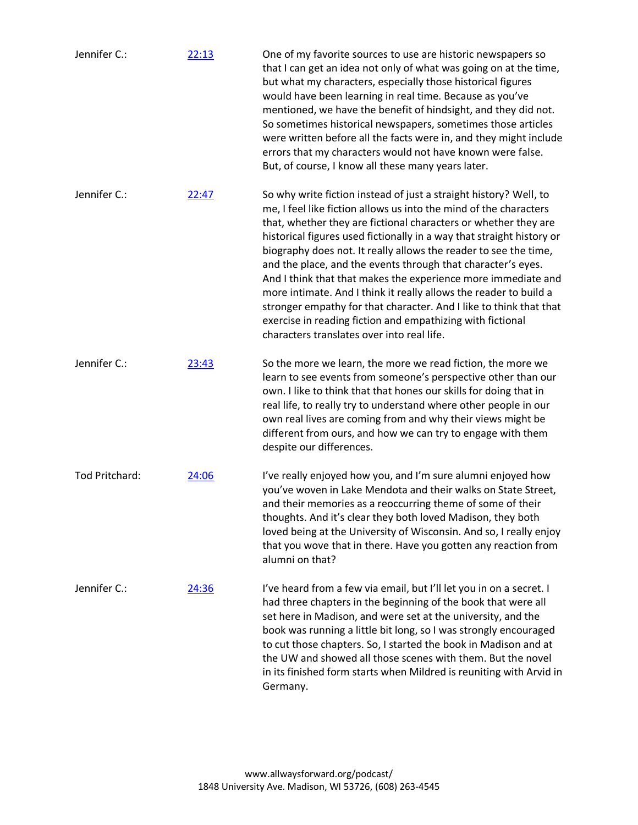| Jennifer C.:   | 22:13 | One of my favorite sources to use are historic newspapers so<br>that I can get an idea not only of what was going on at the time,<br>but what my characters, especially those historical figures<br>would have been learning in real time. Because as you've<br>mentioned, we have the benefit of hindsight, and they did not.<br>So sometimes historical newspapers, sometimes those articles<br>were written before all the facts were in, and they might include<br>errors that my characters would not have known were false.<br>But, of course, I know all these many years later.                                                                                                                                                        |
|----------------|-------|------------------------------------------------------------------------------------------------------------------------------------------------------------------------------------------------------------------------------------------------------------------------------------------------------------------------------------------------------------------------------------------------------------------------------------------------------------------------------------------------------------------------------------------------------------------------------------------------------------------------------------------------------------------------------------------------------------------------------------------------|
| Jennifer C.:   | 22:47 | So why write fiction instead of just a straight history? Well, to<br>me, I feel like fiction allows us into the mind of the characters<br>that, whether they are fictional characters or whether they are<br>historical figures used fictionally in a way that straight history or<br>biography does not. It really allows the reader to see the time,<br>and the place, and the events through that character's eyes.<br>And I think that that makes the experience more immediate and<br>more intimate. And I think it really allows the reader to build a<br>stronger empathy for that character. And I like to think that that<br>exercise in reading fiction and empathizing with fictional<br>characters translates over into real life. |
| Jennifer C.:   | 23:43 | So the more we learn, the more we read fiction, the more we<br>learn to see events from someone's perspective other than our<br>own. I like to think that that hones our skills for doing that in<br>real life, to really try to understand where other people in our<br>own real lives are coming from and why their views might be<br>different from ours, and how we can try to engage with them<br>despite our differences.                                                                                                                                                                                                                                                                                                                |
| Tod Pritchard: | 24:06 | I've really enjoyed how you, and I'm sure alumni enjoyed how<br>you've woven in Lake Mendota and their walks on State Street,<br>and their memories as a reoccurring theme of some of their<br>thoughts. And it's clear they both loved Madison, they both<br>loved being at the University of Wisconsin. And so, I really enjoy<br>that you wove that in there. Have you gotten any reaction from<br>alumni on that?                                                                                                                                                                                                                                                                                                                          |
| Jennifer C.:   | 24:36 | I've heard from a few via email, but I'll let you in on a secret. I<br>had three chapters in the beginning of the book that were all<br>set here in Madison, and were set at the university, and the<br>book was running a little bit long, so I was strongly encouraged<br>to cut those chapters. So, I started the book in Madison and at<br>the UW and showed all those scenes with them. But the novel<br>in its finished form starts when Mildred is reuniting with Arvid in<br>Germany.                                                                                                                                                                                                                                                  |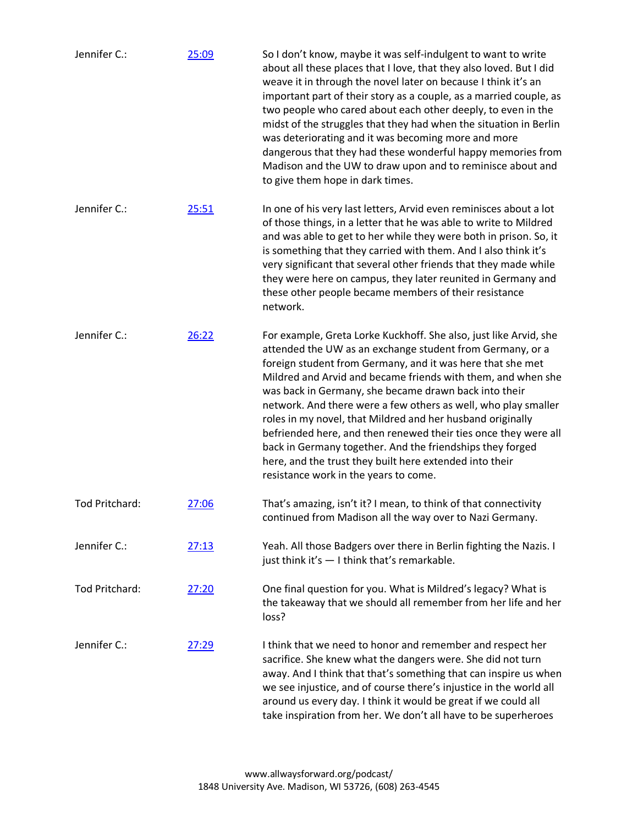| Jennifer C.:   | 25:09 | So I don't know, maybe it was self-indulgent to want to write<br>about all these places that I love, that they also loved. But I did<br>weave it in through the novel later on because I think it's an<br>important part of their story as a couple, as a married couple, as<br>two people who cared about each other deeply, to even in the<br>midst of the struggles that they had when the situation in Berlin<br>was deteriorating and it was becoming more and more<br>dangerous that they had these wonderful happy memories from<br>Madison and the UW to draw upon and to reminisce about and<br>to give them hope in dark times.                                                 |
|----------------|-------|-------------------------------------------------------------------------------------------------------------------------------------------------------------------------------------------------------------------------------------------------------------------------------------------------------------------------------------------------------------------------------------------------------------------------------------------------------------------------------------------------------------------------------------------------------------------------------------------------------------------------------------------------------------------------------------------|
| Jennifer C.:   | 25:51 | In one of his very last letters, Arvid even reminisces about a lot<br>of those things, in a letter that he was able to write to Mildred<br>and was able to get to her while they were both in prison. So, it<br>is something that they carried with them. And I also think it's<br>very significant that several other friends that they made while<br>they were here on campus, they later reunited in Germany and<br>these other people became members of their resistance<br>network.                                                                                                                                                                                                  |
| Jennifer C.:   | 26:22 | For example, Greta Lorke Kuckhoff. She also, just like Arvid, she<br>attended the UW as an exchange student from Germany, or a<br>foreign student from Germany, and it was here that she met<br>Mildred and Arvid and became friends with them, and when she<br>was back in Germany, she became drawn back into their<br>network. And there were a few others as well, who play smaller<br>roles in my novel, that Mildred and her husband originally<br>befriended here, and then renewed their ties once they were all<br>back in Germany together. And the friendships they forged<br>here, and the trust they built here extended into their<br>resistance work in the years to come. |
| Tod Pritchard: | 27:06 | That's amazing, isn't it? I mean, to think of that connectivity<br>continued from Madison all the way over to Nazi Germany.                                                                                                                                                                                                                                                                                                                                                                                                                                                                                                                                                               |
| Jennifer C.:   | 27:13 | Yeah. All those Badgers over there in Berlin fighting the Nazis. I<br>just think it's - I think that's remarkable.                                                                                                                                                                                                                                                                                                                                                                                                                                                                                                                                                                        |
| Tod Pritchard: | 27:20 | One final question for you. What is Mildred's legacy? What is<br>the takeaway that we should all remember from her life and her<br>loss?                                                                                                                                                                                                                                                                                                                                                                                                                                                                                                                                                  |
| Jennifer C.:   | 27:29 | I think that we need to honor and remember and respect her<br>sacrifice. She knew what the dangers were. She did not turn<br>away. And I think that that's something that can inspire us when<br>we see injustice, and of course there's injustice in the world all<br>around us every day. I think it would be great if we could all<br>take inspiration from her. We don't all have to be superheroes                                                                                                                                                                                                                                                                                   |